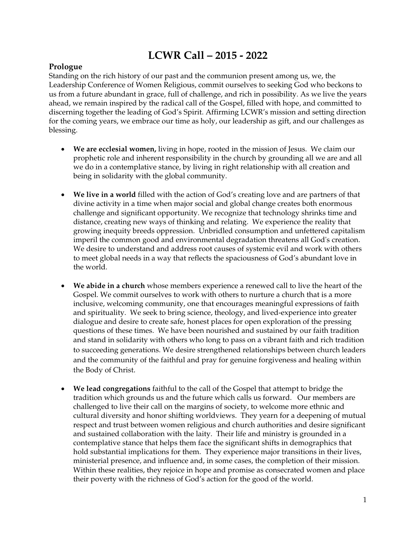# **LCWR Call – 2015 - 2022**

## **Prologue**

Standing on the rich history of our past and the communion present among us, we, the Leadership Conference of Women Religious, commit ourselves to seeking God who beckons to us from a future abundant in grace, full of challenge, and rich in possibility. As we live the years ahead, we remain inspired by the radical call of the Gospel, filled with hope, and committed to discerning together the leading of God's Spirit. Affirming LCWR's mission and setting direction for the coming years, we embrace our time as holy, our leadership as gift, and our challenges as blessing.

- **We are ecclesial women,** living in hope, rooted in the mission of Jesus.We claim our prophetic role and inherent responsibility in the church by grounding all we are and all we do in a contemplative stance, by living in right relationship with all creation and being in solidarity with the global community.
- **We live in a world** filled with the action of God's creating love and are partners of that divine activity in a time when major social and global change creates both enormous challenge and significant opportunity. We recognize that technology shrinks time and distance, creating new ways of thinking and relating. We experience the reality that growing inequity breeds oppression. Unbridled consumption and unfettered capitalism imperil the common good and environmental degradation threatens all God's creation. We desire to understand and address root causes of systemic evil and work with others to meet global needs in a way that reflects the spaciousness of God's abundant love in the world.
- **We abide in a church** whose members experience a renewed call to live the heart of the Gospel. We commit ourselves to work with others to nurture a church that is a more inclusive, welcoming community, one that encourages meaningful expressions of faith and spirituality. We seek to bring science, theology, and lived-experience into greater dialogue and desire to create safe, honest places for open exploration of the pressing questions of these times. We have been nourished and sustained by our faith tradition and stand in solidarity with others who long to pass on a vibrant faith and rich tradition to succeeding generations. We desire strengthened relationships between church leaders and the community of the faithful and pray for genuine forgiveness and healing within the Body of Christ.
- **We lead congregations** faithful to the call of the Gospel that attempt to bridge the tradition which grounds us and the future which calls us forward. Our members are challenged to live their call on the margins of society, to welcome more ethnic and cultural diversity and honor shifting worldviews. They yearn for a deepening of mutual respect and trust between women religious and church authorities and desire significant and sustained collaboration with the laity. Their life and ministry is grounded in a contemplative stance that helps them face the significant shifts in demographics that hold substantial implications for them. They experience major transitions in their lives, ministerial presence, and influence and, in some cases, the completion of their mission. Within these realities, they rejoice in hope and promise as consecrated women and place their poverty with the richness of God's action for the good of the world.